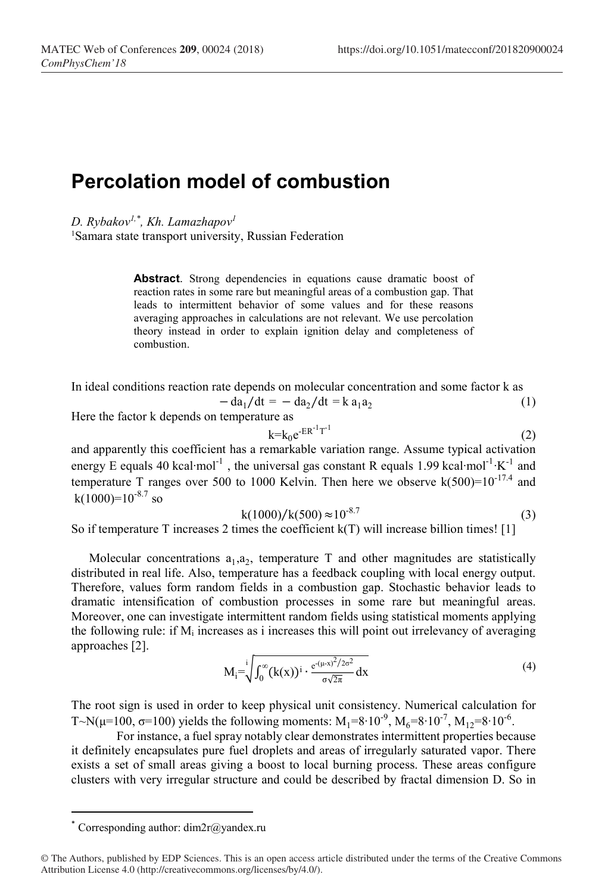## Percolation model of combustion

D. Rybakov<sup>1,\*</sup>, Kh. Lamazhapov<sup>1</sup>

<sup>1</sup>Samara state transport university, Russian Federation

Abstract. Strong dependencies in equations cause dramatic boost of reaction rates in some rare but meaningful areas of a combustion gap. That leads to intermittent behavior of some values and for these reasons averaging approaches in calculations are not relevant. We use percolation theory instead in order to explain ignition delay and completeness of combustion.

In ideal conditions reaction rate depends on molecular concentration and some factor k as

$$
-\mathrm{d}a_1/\mathrm{d}t = -\mathrm{d}a_2/\mathrm{d}t = k a_1 a_2 \tag{1}
$$

Here the factor k depends on temperature as

$$
k=k_0e^{-ER^{-1}T^{-1}}
$$
 (2)

and apparently this coefficient has a remarkable variation range. Assume typical activation energy E equals 40 kcal⋅mol<sup>-1</sup>, the universal gas constant R equals 1.99 kcal⋅mol<sup>-1</sup>⋅K<sup>-1</sup> and temperature T ranges over 500 to 1000 Kelvin. Then here we observe  $k(500)=10^{-17.4}$  and  $k(1000)=10^{-8.7}$  so

$$
k(1000)/k(500) \approx 10^{-8.7}
$$
 (3)

So if temperature T increases 2 times the coefficient  $k(T)$  will increase billion times! [1]

Molecular concentrations  $a_1, a_2$ , temperature T and other magnitudes are statistically distributed in real life. Also, temperature has a feedback coupling with local energy output. Therefore, values form random fields in a combustion gap. Stochastic behavior leads to dramatic intensification of combustion processes in some rare but meaningful areas. Moreover, one can investigate intermittent random fields using statistical moments applying the following rule: if  $M_i$  increases as i increases this will point out irrelevancy of averaging approaches [2].

$$
M_i = \sqrt{\int_0^\infty (k(x))^i \cdot \frac{e^{-(\mu - x)^2/2\sigma^2}}{\sigma\sqrt{2\pi}} dx}
$$
\n(4)

The root sign is used in order to keep physical unit consistency. Numerical calculation for T~N( $\mu$ =100,  $\sigma$ =100) yields the following moments: M<sub>1</sub>=8⋅10<sup>-9</sup>, M<sub>6</sub>=8⋅10<sup>-7</sup>, M<sub>12</sub>=8⋅10<sup>-6</sup>.

For instance, a fuel spray notably clear demonstrates intermittent properties because it definitely encapsulates pure fuel droplets and areas of irregularly saturated vapor. There exists a set of small areas giving a boost to local burning process. These areas configure clusters with very irregular structure and could be described by fractal dimension D. So in

-

<sup>\*</sup> Corresponding author: dim2r@yandex.ru

<sup>©</sup> The Authors, published by EDP Sciences. This is an open access article distributed under the terms of the Creative Commons Attribution License 4.0 (http://creativecommons.org/licenses/by/4.0/).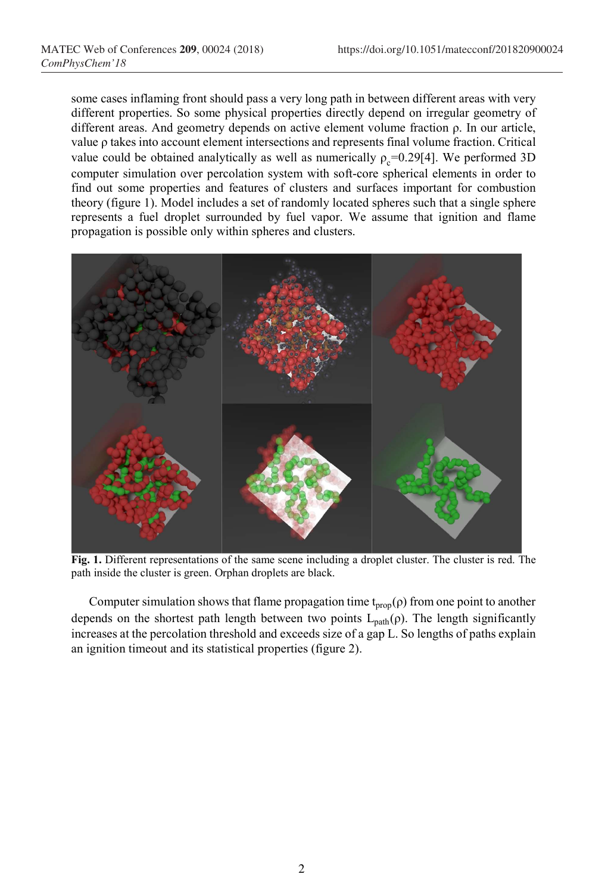some cases inflaming front should pass a very long path in between different areas with very different properties. So some physical properties directly depend on irregular geometry of different areas. And geometry depends on active element volume fraction ρ. In our article, value ρ takes into account element intersections and represents final volume fraction. Critical value could be obtained analytically as well as numerically  $\rho_c$ =0.29[4]. We performed 3D computer simulation over percolation system with soft-core spherical elements in order to find out some properties and features of clusters and surfaces important for combustion theory (figure 1). Model includes a set of randomly located spheres such that a single sphere represents a fuel droplet surrounded by fuel vapor. We assume that ignition and flame propagation is possible only within spheres and clusters.



Fig. 1. Different representations of the same scene including a droplet cluster. The cluster is red. The path inside the cluster is green. Orphan droplets are black.

Computer simulation shows that flame propagation time  $t_{prop}(\rho)$  from one point to another depends on the shortest path length between two points  $L_{path}(\rho)$ . The length significantly increases at the percolation threshold and exceeds size of a gap L. So lengths of paths explain an ignition timeout and its statistical properties (figure 2).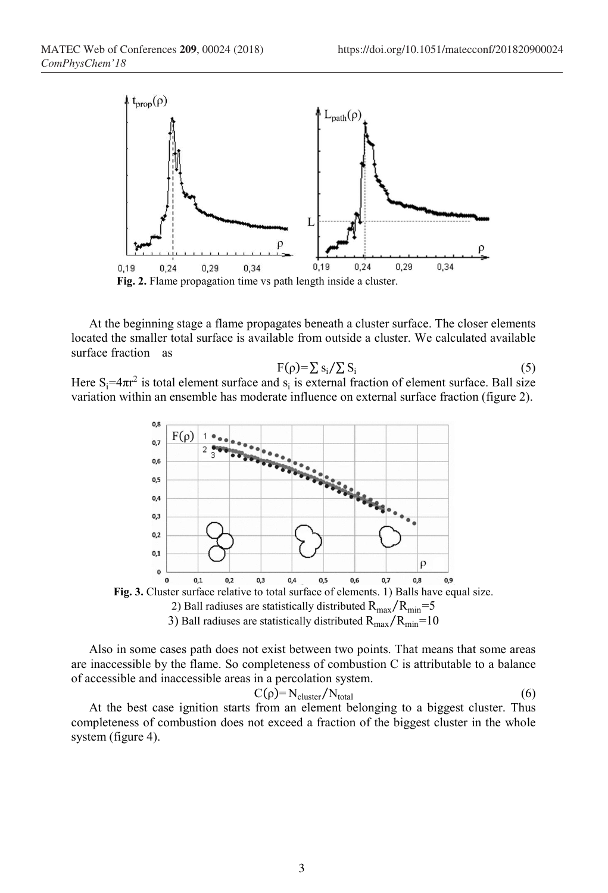

At the beginning stage a flame propagates beneath a cluster surface. The closer elements located the smaller total surface is available from outside a cluster. We calculated available surface fraction as

$$
F(\rho) = \sum s_i / \sum S_i \tag{5}
$$

Here  $S_i = 4\pi r^2$  is total element surface and  $s_i$  is external fraction of element surface. Ball size variation within an ensemble has moderate influence on external surface fraction (figure 2).



Also in some cases path does not exist between two points. That means that some areas are inaccessible by the flame. So completeness of combustion C is attributable to a balance of accessible and inaccessible areas in a percolation system.

$$
C(\rho) = N_{\text{cluster}} / N_{\text{total}} \tag{6}
$$

At the best case ignition starts from an element belonging to a biggest cluster. Thus completeness of combustion does not exceed a fraction of the biggest cluster in the whole system (figure 4).